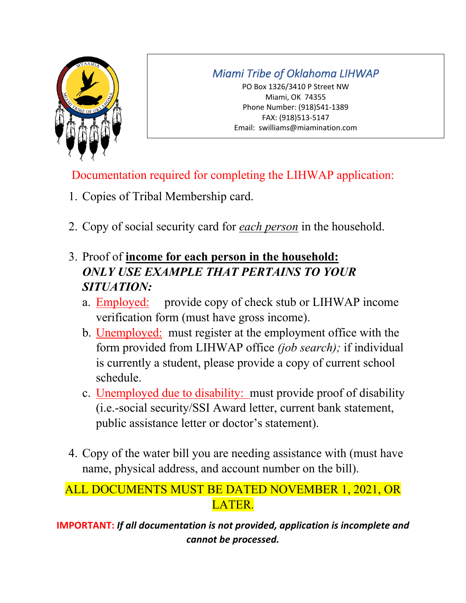

PO Box 1326/3410 P Street NW Miami, OK 74355 Phone Number: (918)541-1389 FAX: (918)513-5147 Email: swilliams@miamination.com

Documentation required for completing the LIHWAP application:

- 1. Copies of Tribal Membership card.
- 2. Copy of social security card for *each person* in the household.
- 3. Proof of **income for each person in the household:** *ONLY USE EXAMPLE THAT PERTAINS TO YOUR SITUATION:*
	- a. Employed: provide copy of check stub or LIHWAP income verification form (must have gross income).
	- b. Unemployed: must register at the employment office with the form provided from LIHWAP office *(job search);* if individual is currently a student, please provide a copy of current school schedule.
	- c. Unemployed due to disability: must provide proof of disability (i.e.-social security/SSI Award letter, current bank statement, public assistance letter or doctor's statement).
- 4. Copy of the water bill you are needing assistance with (must have name, physical address, and account number on the bill).

# ALL DOCUMENTS MUST BE DATED NOVEMBER 1, 2021, OR LATER.

**IMPORTANT:** *If all documentation is not provided, application is incomplete and cannot be processed.*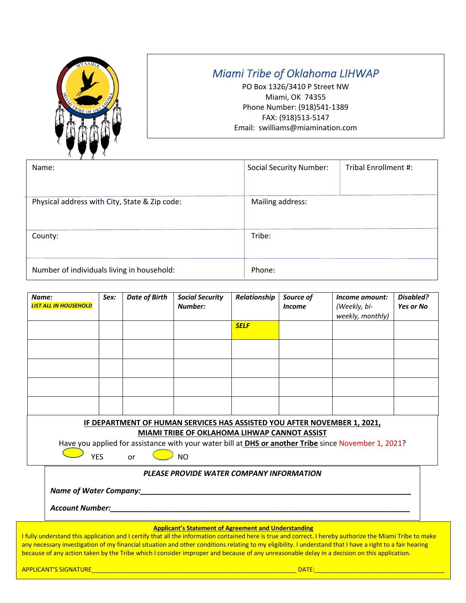

PO Box 1326/3410 P Street NW Miami, OK 74355 Phone Number: (918)541-1389 FAX: (918)513-5147 Email: swilliams@miamination.com

| Name:                                         | <b>Social Security Number:</b> | Tribal Enrollment #: |
|-----------------------------------------------|--------------------------------|----------------------|
|                                               |                                |                      |
| Physical address with City, State & Zip code: | Mailing address:               |                      |
|                                               |                                |                      |
| County:                                       | Tribe:                         |                      |
|                                               |                                |                      |
| Number of individuals living in household:    | Phone:                         |                      |

| Name:<br><b>LIST ALL IN HOUSEHOLD</b>                                                                                                                                                                                                   | Sex: | <b>Date of Birth</b> | <b>Social Security</b><br>Number: | Relationship | Source of<br><b>Income</b> | Income amount:<br>(Weekly, bi-<br>weekly, monthly) | Disabled?<br><b>Yes or No</b> |
|-----------------------------------------------------------------------------------------------------------------------------------------------------------------------------------------------------------------------------------------|------|----------------------|-----------------------------------|--------------|----------------------------|----------------------------------------------------|-------------------------------|
|                                                                                                                                                                                                                                         |      |                      |                                   | <b>SELF</b>  |                            |                                                    |                               |
|                                                                                                                                                                                                                                         |      |                      |                                   |              |                            |                                                    |                               |
|                                                                                                                                                                                                                                         |      |                      |                                   |              |                            |                                                    |                               |
|                                                                                                                                                                                                                                         |      |                      |                                   |              |                            |                                                    |                               |
|                                                                                                                                                                                                                                         |      |                      |                                   |              |                            |                                                    |                               |
| IF DEPARTMENT OF HUMAN SERVICES HAS ASSISTED YOU AFTER NOVEMBER 1, 2021,<br>MIAMI TRIBE OF OKLAHOMA LIHWAP CANNOT ASSIST<br>Have you applied for assistance with your water bill at <b>DHS or another Tribe</b> since November 1, 2021? |      |                      |                                   |              |                            |                                                    |                               |
| <b>NO</b><br><b>YES</b><br>or                                                                                                                                                                                                           |      |                      |                                   |              |                            |                                                    |                               |
| PLEASE PROVIDE WATER COMPANY INFORMATION                                                                                                                                                                                                |      |                      |                                   |              |                            |                                                    |                               |
| <b>Name of Water Company:</b><br><b>Account Number:</b>                                                                                                                                                                                 |      |                      |                                   |              |                            |                                                    |                               |

#### **Applicant's Statement of Agreement and Understanding**

I fully understand this application and I certify that all the information contained here is true and correct. I hereby authorize the Miami Tribe to make any necessary investigation of my financial situation and other conditions relating to my eligibility. I understand that I have a right to a fair hearing because of any action taken by the Tribe which I consider improper and because of any unreasonable delay in a decision on this application.

APPLICANT'S SIGNATURE\_\_\_\_\_\_\_\_\_\_\_\_\_\_\_\_\_\_\_\_\_\_\_\_\_\_\_\_\_\_\_\_\_\_\_\_\_\_\_\_\_\_\_\_\_\_\_\_\_\_\_\_\_\_\_\_\_\_\_\_ DATE:\_\_\_\_\_\_\_\_\_\_\_\_\_\_\_\_\_\_\_\_\_\_\_\_\_\_\_\_\_\_\_\_\_\_\_\_\_\_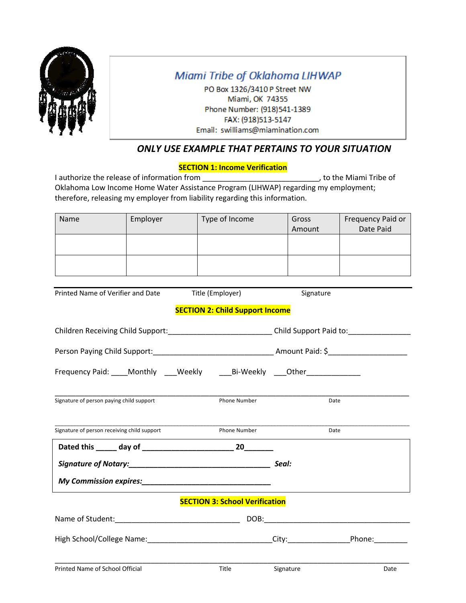

PO Box 1326/3410 P Street NW Miami, OK 74355 Phone Number: (918)541-1389 FAX: (918)513-5147 Email: swilliams@miamination.com

### *ONLY USE EXAMPLE THAT PERTAINS TO YOUR SITUATION*

#### **SECTION 1: Income Verification**

I authorize the release of information from \_\_\_\_\_\_\_\_\_\_\_\_\_\_\_\_\_\_\_\_\_\_\_\_\_\_\_\_\_\_\_\_\_, to the Miami Tribe of Oklahoma Low Income Home Water Assistance Program (LIHWAP) regarding my employment; therefore, releasing my employer from liability regarding this information.

| Name | Employer | Type of Income | Gross<br>Amount | Frequency Paid or<br>Date Paid |
|------|----------|----------------|-----------------|--------------------------------|
|      |          |                |                 |                                |
|      |          |                |                 |                                |

Printed Name of Verifier and Date Title (Employer) Signature

#### **SECTION 2: Child Support Income**

| Children Receiving Child Support:____________________________Child Support Paid to:________________ |
|-----------------------------------------------------------------------------------------------------|
|                                                                                                     |
| Frequency Paid: ____Monthly ____Weekly _____Bi-Weekly ____Other_________________                    |
| <b>Phone Number</b><br>Date                                                                         |
| Phone Number<br>Date                                                                                |
|                                                                                                     |
|                                                                                                     |
|                                                                                                     |
| <b>SECTION 3: School Verification</b>                                                               |
|                                                                                                     |
| High School/College Name:________________________________City:__________________Phone:_____________ |
|                                                                                                     |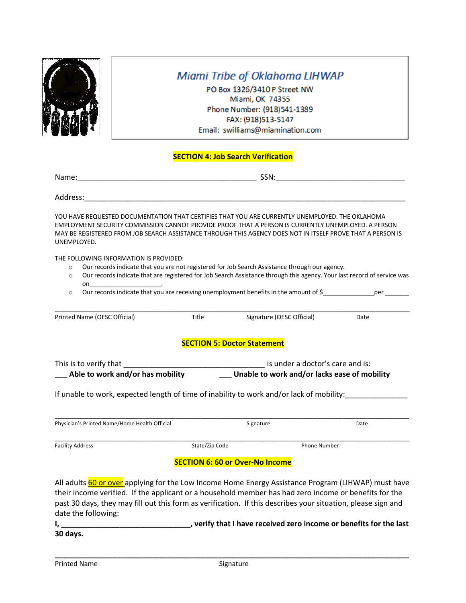

PO Box 1326/3410 P Street NW Miami, OK 74355 Phone Number: (918)541-1389 FAX: (918)513-5147 Email: swilliams@miamination.com

#### **SECTION 4: Job Search Verification**

Address:

YOU HAVE REQUESTED DOCUMENTATION THAT CERTIFIES THAT YOU ARE CURRENTLY UNEMPLOYED. THE OKLAHOMA EMPLOYMENT SECURITY COMMISSION CANNOT PROVIDE PROOF THAT A PERSON IS CURRENTLY UNEMPLOYED. A PERSON MAY BE REGISTERED FROM JOB SEARCH ASSISTANCE THROUGH THIS AGENCY DOES NOT IN ITSELF PROVE THAT A PERSON IS UNEMPLOYED.

THE FOLLOWING INFORMATION IS PROVIDED:

- o Our records indicate that you are not registered for Job Search Assistance through our agency.
- o Our records indicate that are registered for Job Search Assistance through this agency. Your last record of service was on\_\_\_\_\_\_\_\_\_\_\_\_\_\_\_\_\_\_\_\_\_\_\_\_\_\_\_\_\_\_\_\_\_.

 $\circ$  Our records indicate that you are receiving unemployment benefits in the amount of \$  $\bullet$  per

| Printed Name (OESC Official)                               | <b>Title</b> | Signature (OESC Official)                                                                | Date |
|------------------------------------------------------------|--------------|------------------------------------------------------------------------------------------|------|
|                                                            |              | <b>SECTION 5: Doctor Statement</b>                                                       |      |
| This is to verify that<br>Able to work and/or has mobility |              | is under a doctor's care and is:<br>Unable to work and/or lacks ease of mobility         |      |
|                                                            |              | If unable to work, expected length of time of inability to work and/or lack of mobility: |      |

| Physician's Printed Name/Home Health Official |                | Signature           | Date |
|-----------------------------------------------|----------------|---------------------|------|
| <b>Facility Address</b>                       | State/Zip Code | <b>Phone Number</b> |      |

#### **SECTION 6: 60 or Over-No Income**

All adults 60 or over applying for the Low Income Home Energy Assistance Program (LIHWAP) must have their income verified. If the applicant or a household member has had zero income or benefits for the past 30 days, they may fill out this form as verification. If this describes your situation, please sign and date the following:

**I, \_\_\_\_\_\_\_\_\_\_\_\_\_\_\_\_\_\_\_\_\_\_\_\_\_\_\_\_\_\_\_, verify that I have received zero income or benefits for the last 30 days.**